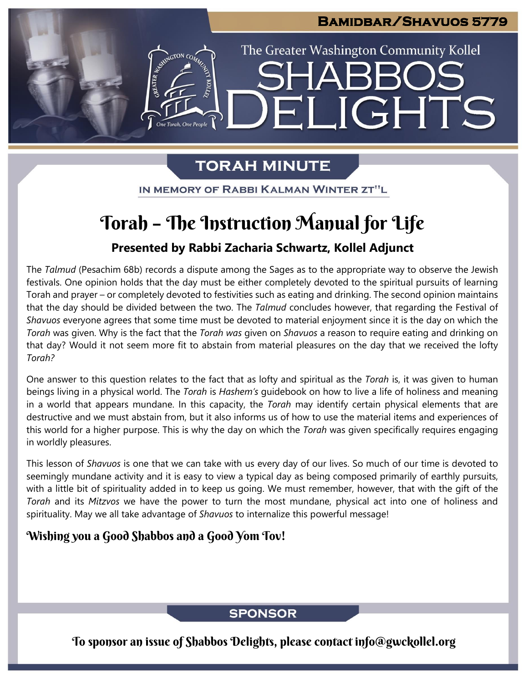# **Bamidbar/Shavuos 5779**  The Greater Washington Community Kollel LIGHTS FI

## **TORAH MINUTE**

IN MEMORY OF RABBI KALMAN WINTER ZT"L

# Torah – The Instruction Manual for Life

#### **Presented by Rabbi Zacharia Schwartz, Kollel Adjunct**

The *Talmud* (Pesachim 68b) records a dispute among the Sages as to the appropriate way to observe the Jewish festivals. One opinion holds that the day must be either completely devoted to the spiritual pursuits of learning Torah and prayer – or completely devoted to festivities such as eating and drinking. The second opinion maintains that the day should be divided between the two. The *Talmud* concludes however, that regarding the Festival of *Shavuos* everyone agrees that some time must be devoted to material enjoyment since it is the day on which the *Torah* was given. Why is the fact that the *Torah was* given on *Shavuos* a reason to require eating and drinking on that day? Would it not seem more fit to abstain from material pleasures on the day that we received the lofty *Torah?*

One answer to this question relates to the fact that as lofty and spiritual as the *Torah* is, it was given to human beings living in a physical world. The *Torah* is *Hashem's* guidebook on how to live a life of holiness and meaning in a world that appears mundane. In this capacity, the *Torah* may identify certain physical elements that are destructive and we must abstain from, but it also informs us of how to use the material items and experiences of this world for a higher purpose. This is why the day on which the *Torah* was given specifically requires engaging in worldly pleasures.

This lesson of *Shavuos* is one that we can take with us every day of our lives. So much of our time is devoted to seemingly mundane activity and it is easy to view a typical day as being composed primarily of earthly pursuits, with a little bit of spirituality added in to keep us going. We must remember, however, that with the gift of the *Torah* and its *Mitzvos* we have the power to turn the most mundane, physical act into one of holiness and spirituality. May we all take advantage of *Shavuos* to internalize this powerful message!

#### Wishing you a Good Shabbos and a Good Yom Tov!

#### **SPONSOR**

To sponsor an issue of Shabbos Delights, please contact info@gwckollel.org